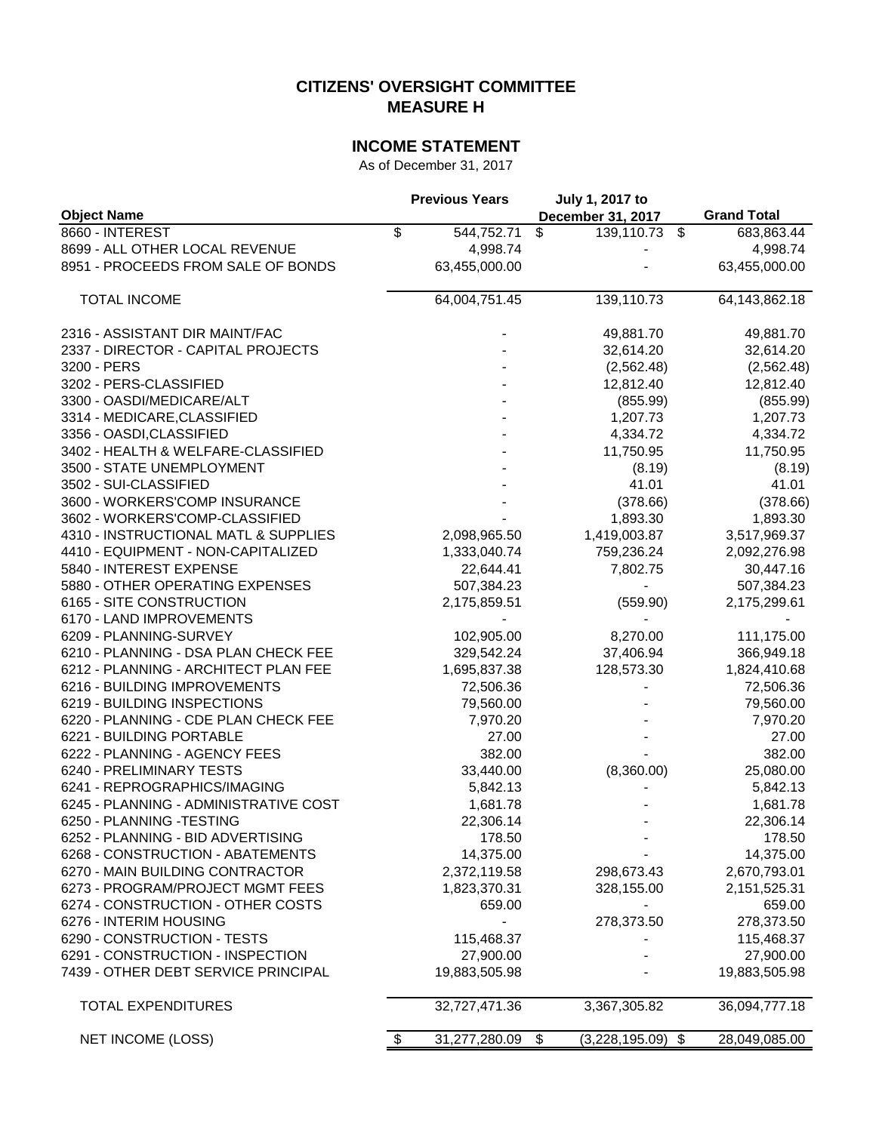## **CITIZENS' OVERSIGHT COMMITTEE MEASURE H**

# **INCOME STATEMENT**

As of December 31, 2017

|                                       | <b>Previous Years</b> | July 1, 2017 to                             |                      |
|---------------------------------------|-----------------------|---------------------------------------------|----------------------|
| <b>Object Name</b>                    |                       | December 31, 2017                           | <b>Grand Total</b>   |
| 8660 - INTEREST                       | \$<br>544,752.71      | \$<br>139,110.73 \$                         | 683,863.44           |
| 8699 - ALL OTHER LOCAL REVENUE        | 4,998.74              |                                             | 4,998.74             |
| 8951 - PROCEEDS FROM SALE OF BONDS    | 63,455,000.00         |                                             | 63,455,000.00        |
| <b>TOTAL INCOME</b>                   | 64,004,751.45         | 139,110.73                                  | 64,143,862.18        |
| 2316 - ASSISTANT DIR MAINT/FAC        |                       | 49,881.70                                   | 49,881.70            |
| 2337 - DIRECTOR - CAPITAL PROJECTS    |                       | 32,614.20                                   | 32,614.20            |
| 3200 - PERS                           |                       | (2,562.48)                                  | (2,562.48)           |
| 3202 - PERS-CLASSIFIED                |                       | 12,812.40                                   | 12,812.40            |
| 3300 - OASDI/MEDICARE/ALT             |                       | (855.99)                                    | (855.99)             |
| 3314 - MEDICARE, CLASSIFIED           |                       | 1,207.73                                    | 1,207.73             |
| 3356 - OASDI, CLASSIFIED              |                       | 4,334.72                                    | 4,334.72             |
| 3402 - HEALTH & WELFARE-CLASSIFIED    |                       | 11,750.95                                   | 11,750.95            |
| 3500 - STATE UNEMPLOYMENT             |                       | (8.19)                                      | (8.19)               |
| 3502 - SUI-CLASSIFIED                 |                       | 41.01                                       | 41.01                |
| 3600 - WORKERS'COMP INSURANCE         |                       | (378.66)                                    | (378.66)             |
| 3602 - WORKERS'COMP-CLASSIFIED        |                       | 1,893.30                                    | 1,893.30             |
| 4310 - INSTRUCTIONAL MATL & SUPPLIES  | 2,098,965.50          | 1,419,003.87                                | 3,517,969.37         |
| 4410 - EQUIPMENT - NON-CAPITALIZED    | 1,333,040.74          | 759,236.24                                  | 2,092,276.98         |
| 5840 - INTEREST EXPENSE               | 22,644.41             | 7,802.75                                    | 30,447.16            |
| 5880 - OTHER OPERATING EXPENSES       | 507,384.23            | $\blacksquare$                              | 507,384.23           |
| 6165 - SITE CONSTRUCTION              | 2,175,859.51          | (559.90)                                    | 2,175,299.61         |
| 6170 - LAND IMPROVEMENTS              |                       |                                             |                      |
| 6209 - PLANNING-SURVEY                | 102,905.00            | 8,270.00                                    | 111,175.00           |
| 6210 - PLANNING - DSA PLAN CHECK FEE  | 329,542.24            | 37,406.94                                   | 366,949.18           |
| 6212 - PLANNING - ARCHITECT PLAN FEE  | 1,695,837.38          | 128,573.30                                  | 1,824,410.68         |
| 6216 - BUILDING IMPROVEMENTS          | 72,506.36             |                                             | 72,506.36            |
| 6219 - BUILDING INSPECTIONS           | 79,560.00             |                                             | 79,560.00            |
| 6220 - PLANNING - CDE PLAN CHECK FEE  | 7,970.20              |                                             | 7,970.20             |
| 6221 - BUILDING PORTABLE              | 27.00                 |                                             | 27.00                |
| 6222 - PLANNING - AGENCY FEES         | 382.00                |                                             | 382.00               |
| 6240 - PRELIMINARY TESTS              | 33,440.00             | (8,360.00)                                  | 25,080.00            |
| 6241 - REPROGRAPHICS/IMAGING          | 5,842.13              |                                             | 5,842.13             |
| 6245 - PLANNING - ADMINISTRATIVE COST | 1,681.78              |                                             | 1,681.78             |
| 6250 - PLANNING - TESTING             | 22,306.14             |                                             | 22,306.14            |
| 6252 - PLANNING - BID ADVERTISING     | 178.50                |                                             | 178.50               |
| 6268 - CONSTRUCTION - ABATEMENTS      | 14,375.00             |                                             | 14,375.00            |
| 6270 - MAIN BUILDING CONTRACTOR       | 2,372,119.58          | 298,673.43                                  | 2,670,793.01         |
| 6273 - PROGRAM/PROJECT MGMT FEES      | 1,823,370.31          | 328,155.00                                  | 2,151,525.31         |
| 6274 - CONSTRUCTION - OTHER COSTS     | 659.00                |                                             | 659.00               |
| 6276 - INTERIM HOUSING                |                       | 278,373.50                                  | 278,373.50           |
| 6290 - CONSTRUCTION - TESTS           | 115,468.37            |                                             | 115,468.37           |
| 6291 - CONSTRUCTION - INSPECTION      | 27,900.00             |                                             | 27,900.00            |
| 7439 - OTHER DEBT SERVICE PRINCIPAL   | 19,883,505.98         |                                             | 19,883,505.98        |
| <b>TOTAL EXPENDITURES</b>             | 32,727,471.36         | 3,367,305.82                                | 36,094,777.18        |
| <b>NET INCOME (LOSS)</b>              | 31,277,280.09<br>S.   | $\boldsymbol{\mathsf{S}}$<br>(3,228,195.09) | -\$<br>28,049,085.00 |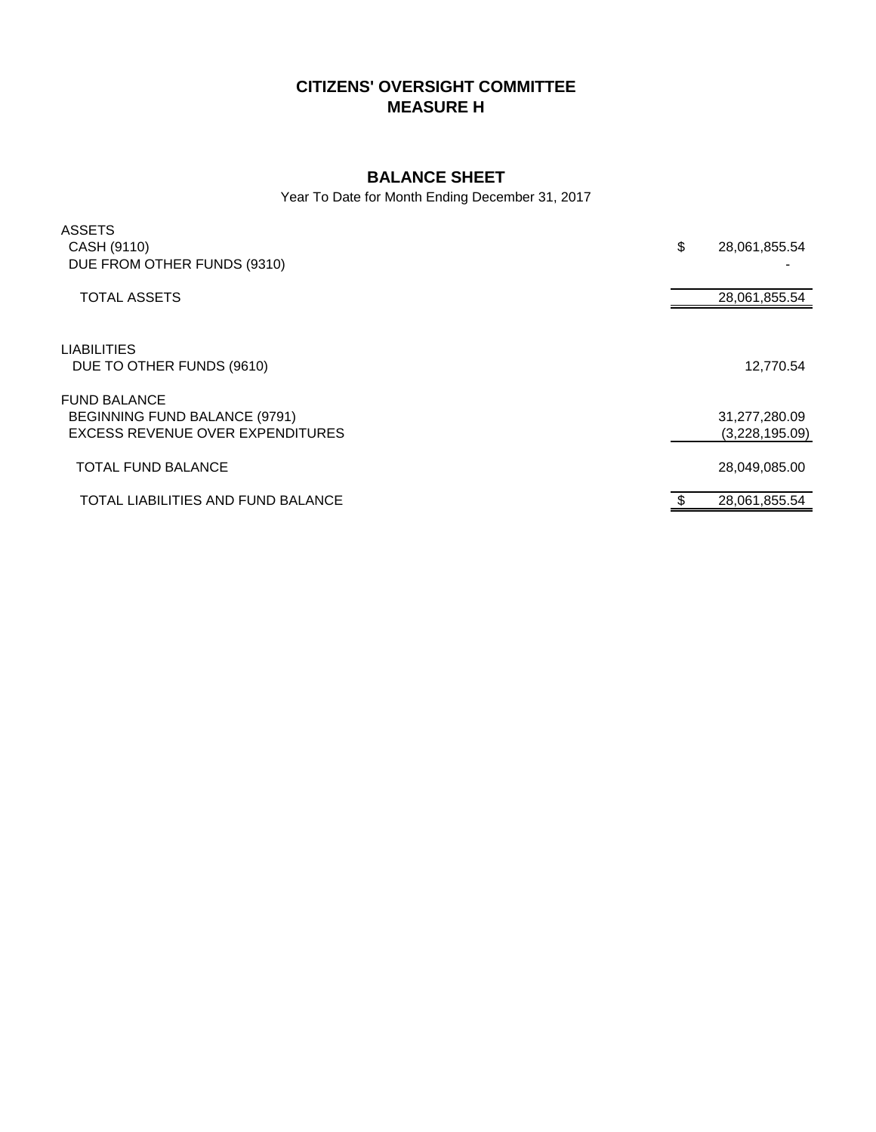# **CITIZENS' OVERSIGHT COMMITTEE MEASURE H**

### **BALANCE SHEET**

Year To Date for Month Ending December 31, 2017

| <b>ASSETS</b><br>CASH (9110)<br>DUE FROM OTHER FUNDS (9310)                              | \$<br>28,061,855.54             |
|------------------------------------------------------------------------------------------|---------------------------------|
| <b>TOTAL ASSETS</b>                                                                      | 28,061,855.54                   |
| <b>LIABILITIES</b><br>DUE TO OTHER FUNDS (9610)                                          | 12,770.54                       |
| <b>FUND BALANCE</b><br>BEGINNING FUND BALANCE (9791)<br>EXCESS REVENUE OVER EXPENDITURES | 31,277,280.09<br>(3,228,195.09) |
| <b>TOTAL FUND BALANCE</b>                                                                | 28,049,085.00                   |
| TOTAL LIABILITIES AND FUND BALANCE                                                       | 28,061,855.54                   |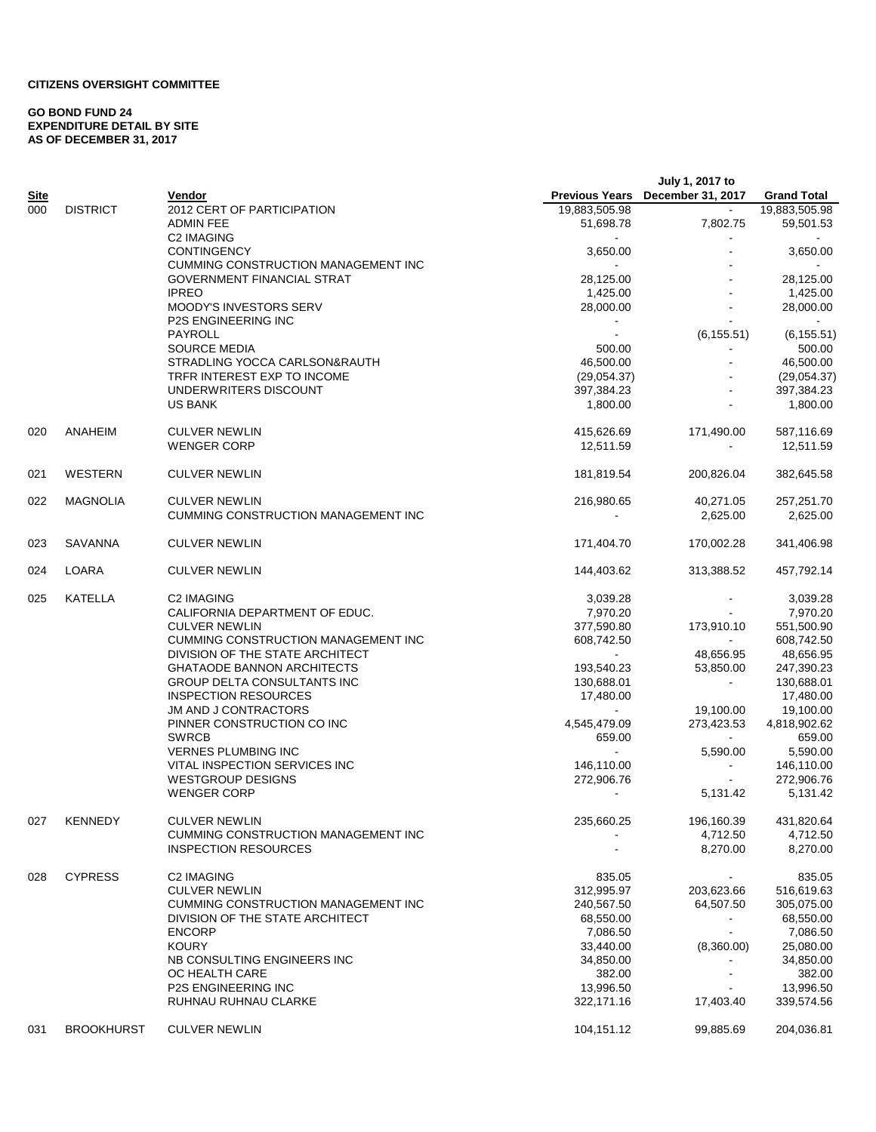### **CITIZENS OVERSIGHT COMMITTEE**

#### **GO BOND FUND 24 EXPENDITURE DETAIL BY SITE AS OF DECEMBER 31, 2017**

|             |                   |                                                                    |                           | July 1, 2017 to                  |                           |
|-------------|-------------------|--------------------------------------------------------------------|---------------------------|----------------------------------|---------------------------|
| <u>Site</u> |                   | Vendor                                                             |                           | Previous Years December 31, 2017 | <b>Grand Total</b>        |
| 000         | <b>DISTRICT</b>   | 2012 CERT OF PARTICIPATION                                         | 19,883,505.98             | $\blacksquare$                   | 19,883,505.98             |
|             |                   | ADMIN FEE                                                          | 51,698.78                 | 7,802.75                         | 59,501.53                 |
|             |                   | <b>C2 IMAGING</b>                                                  |                           |                                  |                           |
|             |                   | <b>CONTINGENCY</b><br><b>CUMMING CONSTRUCTION MANAGEMENT INC</b>   | 3,650.00                  |                                  | 3,650.00                  |
|             |                   | GOVERNMENT FINANCIAL STRAT                                         | 28,125.00                 |                                  | 28,125.00                 |
|             |                   | <b>IPREO</b>                                                       | 1,425.00                  |                                  | 1,425.00                  |
|             |                   | <b>MOODY'S INVESTORS SERV</b>                                      | 28,000.00                 |                                  | 28,000.00                 |
|             |                   | <b>P2S ENGINEERING INC</b>                                         | $\blacksquare$            |                                  |                           |
|             |                   | PAYROLL                                                            | $\blacksquare$            | (6, 155.51)                      | (6, 155.51)               |
|             |                   | <b>SOURCE MEDIA</b>                                                | 500.00                    |                                  | 500.00                    |
|             |                   | STRADLING YOCCA CARLSON&RAUTH                                      | 46,500.00                 |                                  | 46,500.00                 |
|             |                   | TRFR INTEREST EXP TO INCOME<br>UNDERWRITERS DISCOUNT               | (29,054.37)<br>397,384.23 |                                  | (29,054.37)<br>397,384.23 |
|             |                   | <b>US BANK</b>                                                     | 1,800.00                  |                                  | 1,800.00                  |
|             |                   |                                                                    |                           |                                  |                           |
| 020         | ANAHEIM           | <b>CULVER NEWLIN</b>                                               | 415,626.69                | 171,490.00                       | 587,116.69                |
|             |                   | <b>WENGER CORP</b>                                                 | 12,511.59                 | $\blacksquare$                   | 12,511.59                 |
|             |                   |                                                                    |                           |                                  |                           |
| 021         | WESTERN           | <b>CULVER NEWLIN</b>                                               | 181,819.54                | 200,826.04                       | 382,645.58                |
| 022         | <b>MAGNOLIA</b>   | <b>CULVER NEWLIN</b>                                               | 216,980.65                | 40,271.05                        | 257,251.70                |
|             |                   | <b>CUMMING CONSTRUCTION MANAGEMENT INC</b>                         |                           | 2,625.00                         | 2,625.00                  |
| 023         | SAVANNA           | <b>CULVER NEWLIN</b>                                               | 171,404.70                | 170,002.28                       | 341,406.98                |
|             | LOARA             |                                                                    | 144,403.62                |                                  |                           |
| 024         |                   | <b>CULVER NEWLIN</b>                                               |                           | 313,388.52                       | 457,792.14                |
| 025         | KATELLA           | C2 IMAGING                                                         | 3,039.28                  |                                  | 3,039.28                  |
|             |                   | CALIFORNIA DEPARTMENT OF EDUC.                                     | 7,970.20                  | $\sim$                           | 7,970.20                  |
|             |                   | <b>CULVER NEWLIN</b><br><b>CUMMING CONSTRUCTION MANAGEMENT INC</b> | 377,590.80<br>608,742.50  | 173,910.10                       | 551,500.90<br>608,742.50  |
|             |                   | DIVISION OF THE STATE ARCHITECT                                    | $\blacksquare$            | 48,656.95                        | 48,656.95                 |
|             |                   | <b>GHATAODE BANNON ARCHITECTS</b>                                  | 193,540.23                | 53,850.00                        | 247,390.23                |
|             |                   | GROUP DELTA CONSULTANTS INC                                        | 130,688.01                | $\sim$                           | 130,688.01                |
|             |                   | <b>INSPECTION RESOURCES</b>                                        | 17,480.00                 |                                  | 17,480.00                 |
|             |                   | <b>JM AND J CONTRACTORS</b>                                        |                           | 19,100.00                        | 19,100.00                 |
|             |                   | PINNER CONSTRUCTION CO INC                                         | 4,545,479.09              | 273,423.53                       | 4,818,902.62              |
|             |                   | <b>SWRCB</b>                                                       | 659.00                    | $\sim 100$                       | 659.00                    |
|             |                   | <b>VERNES PLUMBING INC</b>                                         | $\blacksquare$            | 5,590.00                         | 5,590.00                  |
|             |                   | VITAL INSPECTION SERVICES INC                                      | 146,110.00                | $\blacksquare$                   | 146,110.00                |
|             |                   | <b>WESTGROUP DESIGNS</b><br><b>WENGER CORP</b>                     | 272,906.76                | 5,131.42                         | 272,906.76<br>5,131.42    |
|             |                   |                                                                    |                           |                                  |                           |
| 027         | <b>KENNEDY</b>    | <b>CULVER NEWLIN</b>                                               | 235,660.25                | 196,160.39                       | 431,820.64                |
|             |                   | CUMMING CONSTRUCTION MANAGEMENT INC                                |                           | 4,712.50                         | 4,712.50                  |
|             |                   | <b>INSPECTION RESOURCES</b>                                        |                           | 8,270.00                         | 8,270.00                  |
| 028         | <b>CYPRESS</b>    | C2 IMAGING                                                         | 835.05                    |                                  | 835.05                    |
|             |                   | <b>CULVER NEWLIN</b>                                               | 312,995.97                | 203,623.66                       | 516,619.63                |
|             |                   | CUMMING CONSTRUCTION MANAGEMENT INC                                | 240,567.50                | 64,507.50                        | 305,075.00                |
|             |                   | DIVISION OF THE STATE ARCHITECT                                    | 68,550.00                 |                                  | 68,550.00                 |
|             |                   | <b>ENCORP</b>                                                      | 7,086.50                  |                                  | 7,086.50                  |
|             |                   | <b>KOURY</b><br>NB CONSULTING ENGINEERS INC                        | 33,440.00                 | (8,360.00)                       | 25,080.00                 |
|             |                   | OC HEALTH CARE                                                     | 34,850.00<br>382.00       |                                  | 34,850.00<br>382.00       |
|             |                   | <b>P2S ENGINEERING INC</b>                                         | 13,996.50                 |                                  | 13,996.50                 |
|             |                   | RUHNAU RUHNAU CLARKE                                               | 322,171.16                | 17,403.40                        | 339,574.56                |
| 031         | <b>BROOKHURST</b> | <b>CULVER NEWLIN</b>                                               | 104,151.12                | 99,885.69                        | 204,036.81                |